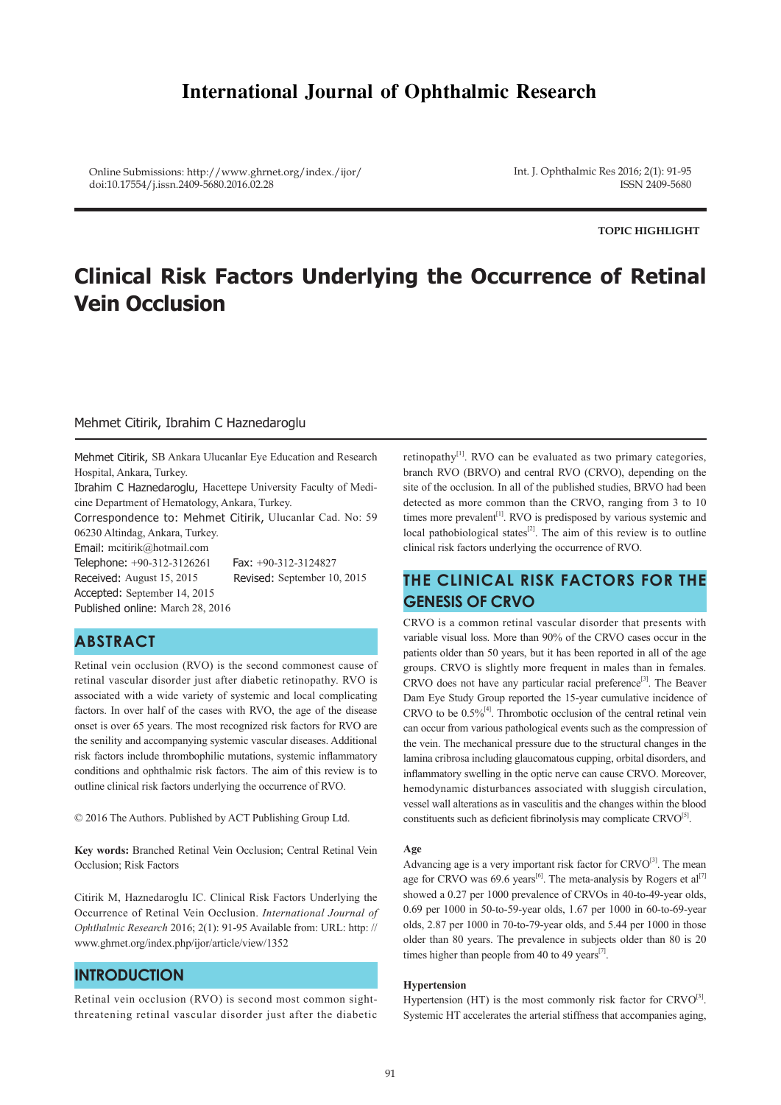# **International Journal of Ophthalmic Research**

Online Submissions: http://www.ghrnet.org/index./ijor/ doi:10.17554/j.issn.2409-5680.2016.02.28

Int. J. Ophthalmic Res 2016; 2(1): 91-95 ISSN 2409-5680

**TOPIC HIGHLIGHT**

# **Clinical Risk Factors Underlying the Occurrence of Retinal Vein Occlusion**

### Mehmet Citirik, Ibrahim C Haznedaroglu

Mehmet Citirik, SB Ankara Ulucanlar Eye Education and Research Hospital, Ankara, Turkey.

Ibrahim C Haznedaroglu, Hacettepe University Faculty of Medicine Department of Hematology, Ankara, Turkey.

Correspondence to: Mehmet Citirik, Ulucanlar Cad. No: 59 06230 Altindag, Ankara, Turkey.

Email: mcitirik@hotmail.com Telephone: +90-312-3126261 Fax: +90-312-3124827 Received: August 15, 2015 Revised: September 10, 2015 Accepted: September 14, 2015 Published online: March 28, 2016

# **ABSTRACT**

Retinal vein occlusion (RVO) is the second commonest cause of retinal vascular disorder just after diabetic retinopathy. RVO is associated with a wide variety of systemic and local complicating factors. In over half of the cases with RVO, the age of the disease onset is over 65 years. The most recognized risk factors for RVO are the senility and accompanying systemic vascular diseases. Additional risk factors include thrombophilic mutations, systemic inflammatory conditions and ophthalmic risk factors. The aim of this review is to outline clinical risk factors underlying the occurrence of RVO.

© 2016 The Authors. Published by ACT Publishing Group Ltd.

**Key words:** Branched Retinal Vein Occlusion; Central Retinal Vein Occlusion; Risk Factors

Citirik M, Haznedaroglu IC. Clinical Risk Factors Underlying the Occurrence of Retinal Vein Occlusion. *International Journal of Ophthalmic Research* 2016; 2(1): 91-95 Available from: URL: http: // www.ghrnet.org/index.php/ijor/article/view/1352

### **INTRODUCTION**

Retinal vein occlusion (RVO) is second most common sightthreatening retinal vascular disorder just after the diabetic retinopathy $[1]$ . RVO can be evaluated as two primary categories, branch RVO (BRVO) and central RVO (CRVO), depending on the site of the occlusion. In all of the published studies, BRVO had been detected as more common than the CRVO, ranging from 3 to 10 times more prevalent<sup>[1]</sup>. RVO is predisposed by various systemic and local pathobiological states $^{[2]}$ . The aim of this review is to outline clinical risk factors underlying the occurrence of RVO.

# **THE CLINICAL RISK FACTORS FOR THE GENESIS OF CRVO**

CRVO is a common retinal vascular disorder that presents with variable visual loss. More than 90% of the CRVO cases occur in the patients older than 50 years, but it has been reported in all of the age groups. CRVO is slightly more frequent in males than in females. CRVO does not have any particular racial preference<sup>[3]</sup>. The Beaver Dam Eye Study Group reported the 15-year cumulative incidence of CRVO to be  $0.5\%$ <sup>[4]</sup>. Thrombotic occlusion of the central retinal vein can occur from various pathological events such as the compression of the vein. The mechanical pressure due to the structural changes in the lamina cribrosa including glaucomatous cupping, orbital disorders, and inflammatory swelling in the optic nerve can cause CRVO. Moreover, hemodynamic disturbances associated with sluggish circulation, vessel wall alterations as in vasculitis and the changes within the blood constituents such as deficient fibrinolysis may complicate  $CRVO^{[5]}$ .

#### **Age**

Advancing age is a very important risk factor for CRVO<sup>[3]</sup>. The mean age for CRVO was 69.6 years<sup>[6]</sup>. The meta-analysis by Rogers et al<sup>[7]</sup> showed a 0.27 per 1000 prevalence of CRVOs in 40-to-49-year olds, 0.69 per 1000 in 50-to-59-year olds, 1.67 per 1000 in 60-to-69-year olds, 2.87 per 1000 in 70-to-79-year olds, and 5.44 per 1000 in those older than 80 years. The prevalence in subjects older than 80 is 20 times higher than people from 40 to 49 years $[7]$ .

#### **Hypertension**

Hypertension (HT) is the most commonly risk factor for  $C RVO^{[3]}$ . Systemic HT accelerates the arterial stiffness that accompanies aging,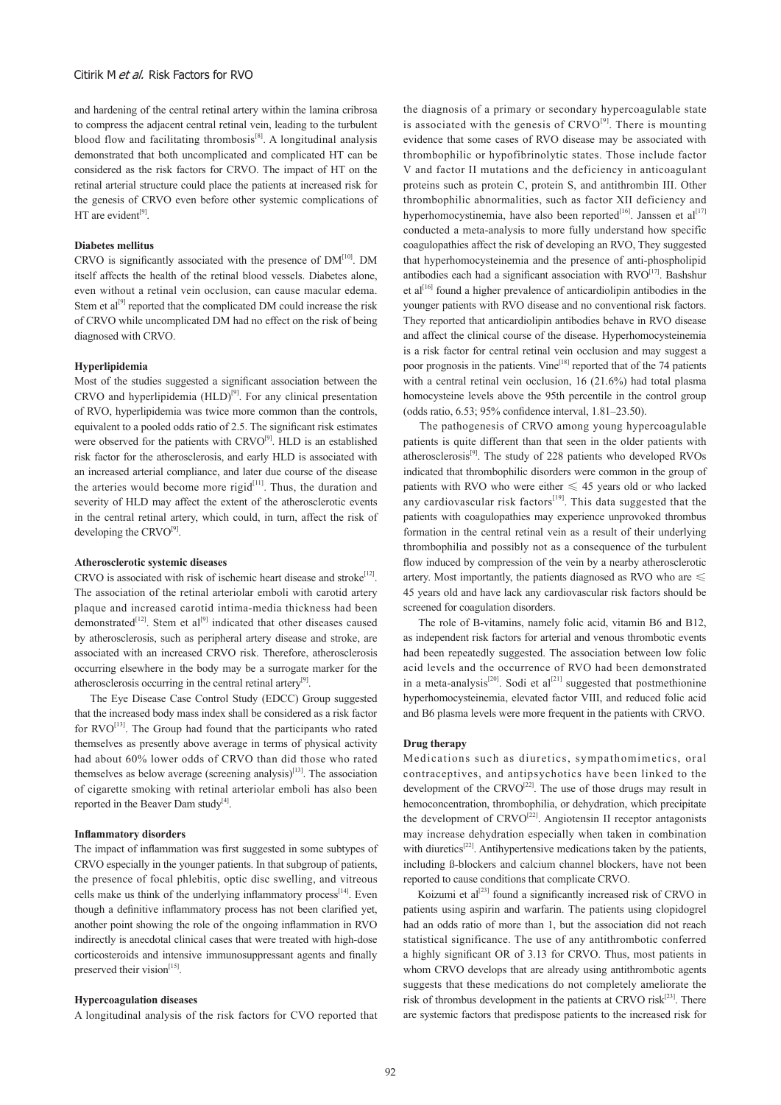and hardening of the central retinal artery within the lamina cribrosa to compress the adjacent central retinal vein, leading to the turbulent blood flow and facilitating thrombosis<sup>[8]</sup>. A longitudinal analysis demonstrated that both uncomplicated and complicated HT can be considered as the risk factors for CRVO. The impact of HT on the retinal arterial structure could place the patients at increased risk for the genesis of CRVO even before other systemic complications of HT are evident $[9]$ .

#### **Diabetes mellitus**

CRVO is significantly associated with the presence of  $DM<sup>[10]</sup>$ . DM itself affects the health of the retinal blood vessels. Diabetes alone, even without a retinal vein occlusion, can cause macular edema. Stem et  $al^{[9]}$  reported that the complicated DM could increase the risk of CRVO while uncomplicated DM had no effect on the risk of being diagnosed with CRVO.

#### **Hyperlipidemia**

Most of the studies suggested a significant association between the CRVO and hyperlipidemia  $(HLD)^{[9]}$ . For any clinical presentation of RVO, hyperlipidemia was twice more common than the controls, equivalent to a pooled odds ratio of 2.5. The significant risk estimates were observed for the patients with  $C RVO<sup>[9]</sup>$ . HLD is an established risk factor for the atherosclerosis, and early HLD is associated with an increased arterial compliance, and later due course of the disease the arteries would become more rigid $[11]$ . Thus, the duration and severity of HLD may affect the extent of the atherosclerotic events in the central retinal artery, which could, in turn, affect the risk of developing the CRVO<sup>[9]</sup>.

#### **Atherosclerotic systemic diseases**

CRVO is associated with risk of ischemic heart disease and stroke<sup>[12]</sup>. The association of the retinal arteriolar emboli with carotid artery plaque and increased carotid intima-media thickness had been demonstrated<sup>[12]</sup>. Stem et al<sup>[9]</sup> indicated that other diseases caused by atherosclerosis, such as peripheral artery disease and stroke, are associated with an increased CRVO risk. Therefore, atherosclerosis occurring elsewhere in the body may be a surrogate marker for the atherosclerosis occurring in the central retinal artery<sup>[9]</sup>.

 The Eye Disease Case Control Study (EDCC) Group suggested that the increased body mass index shall be considered as a risk factor for RVO<sup>[13]</sup>. The Group had found that the participants who rated themselves as presently above average in terms of physical activity had about 60% lower odds of CRVO than did those who rated themselves as below average (screening analysis)<sup>[13]</sup>. The association of cigarette smoking with retinal arteriolar emboli has also been reported in the Beaver Dam study<sup>[4]</sup>.

#### **Inflammatory disorders**

The impact of inflammation was first suggested in some subtypes of CRVO especially in the younger patients. In that subgroup of patients, the presence of focal phlebitis, optic disc swelling, and vitreous cells make us think of the underlying inflammatory process<sup>[14]</sup>. Even though a definitive inflammatory process has not been clarified yet, another point showing the role of the ongoing inflammation in RVO indirectly is anecdotal clinical cases that were treated with high-dose corticosteroids and intensive immunosuppressant agents and finally preserved their vision<sup>[15]</sup>.

#### **Hypercoagulation diseases**

A longitudinal analysis of the risk factors for CVO reported that

the diagnosis of a primary or secondary hypercoagulable state is associated with the genesis of  $C R V O^{[9]}$ . There is mounting evidence that some cases of RVO disease may be associated with thrombophilic or hypofibrinolytic states. Those include factor V and factor II mutations and the deficiency in anticoagulant proteins such as protein C, protein S, and antithrombin III. Other thrombophilic abnormalities, such as factor XII deficiency and hyperhomocystinemia, have also been reported<sup>[16]</sup>. Janssen et al<sup>[17]</sup> conducted a meta-analysis to more fully understand how specific coagulopathies affect the risk of developing an RVO, They suggested that hyperhomocysteinemia and the presence of anti-phospholipid antibodies each had a significant association with  $\text{RVO}^{[17]}$ . Bashshur et al<sup>[16]</sup> found a higher prevalence of anticardiolipin antibodies in the younger patients with RVO disease and no conventional risk factors. They reported that anticardiolipin antibodies behave in RVO disease and affect the clinical course of the disease. Hyperhomocysteinemia is a risk factor for central retinal vein occlusion and may suggest a poor prognosis in the patients. Vine<sup>[18]</sup> reported that of the 74 patients with a central retinal vein occlusion, 16 (21.6%) had total plasma homocysteine levels above the 95th percentile in the control group (odds ratio, 6.53; 95% confidence interval, 1.81–23.50).

 The pathogenesis of CRVO among young hypercoagulable patients is quite different than that seen in the older patients with atherosclerosis $[9]$ . The study of 228 patients who developed RVOs indicated that thrombophilic disorders were common in the group of patients with RVO who were either ≤ 45 years old or who lacked any cardiovascular risk factors<sup>[19]</sup>. This data suggested that the patients with coagulopathies may experience unprovoked thrombus formation in the central retinal vein as a result of their underlying thrombophilia and possibly not as a consequence of the turbulent flow induced by compression of the vein by a nearby atherosclerotic artery. Most importantly, the patients diagnosed as RVO who are  $\leqslant$ 45 years old and have lack any cardiovascular risk factors should be screened for coagulation disorders.

 The role of B-vitamins, namely folic acid, vitamin B6 and B12, as independent risk factors for arterial and venous thrombotic events had been repeatedly suggested. The association between low folic acid levels and the occurrence of RVO had been demonstrated in a meta-analysis<sup>[20]</sup>. Sodi et al<sup>[21]</sup> suggested that postmethionine hyperhomocysteinemia, elevated factor VIII, and reduced folic acid and B6 plasma levels were more frequent in the patients with CRVO.

#### **Drug therapy**

Medications such as diuretics, sympathomimetics, oral contraceptives, and antipsychotics have been linked to the development of the  $C RVO^{[22]}$ . The use of those drugs may result in hemoconcentration, thrombophilia, or dehydration, which precipitate the development of CRVO<sup>[22]</sup>. Angiotensin II receptor antagonists may increase dehydration especially when taken in combination with diuretics<sup>[22]</sup>. Antihypertensive medications taken by the patients, including ß-blockers and calcium channel blockers, have not been reported to cause conditions that complicate CRVO.

Koizumi et al<sup>[23]</sup> found a significantly increased risk of CRVO in patients using aspirin and warfarin. The patients using clopidogrel had an odds ratio of more than 1, but the association did not reach statistical significance. The use of any antithrombotic conferred a highly significant OR of 3.13 for CRVO. Thus, most patients in whom CRVO develops that are already using antithrombotic agents suggests that these medications do not completely ameliorate the risk of thrombus development in the patients at CRVO risk<sup>[23]</sup>. There are systemic factors that predispose patients to the increased risk for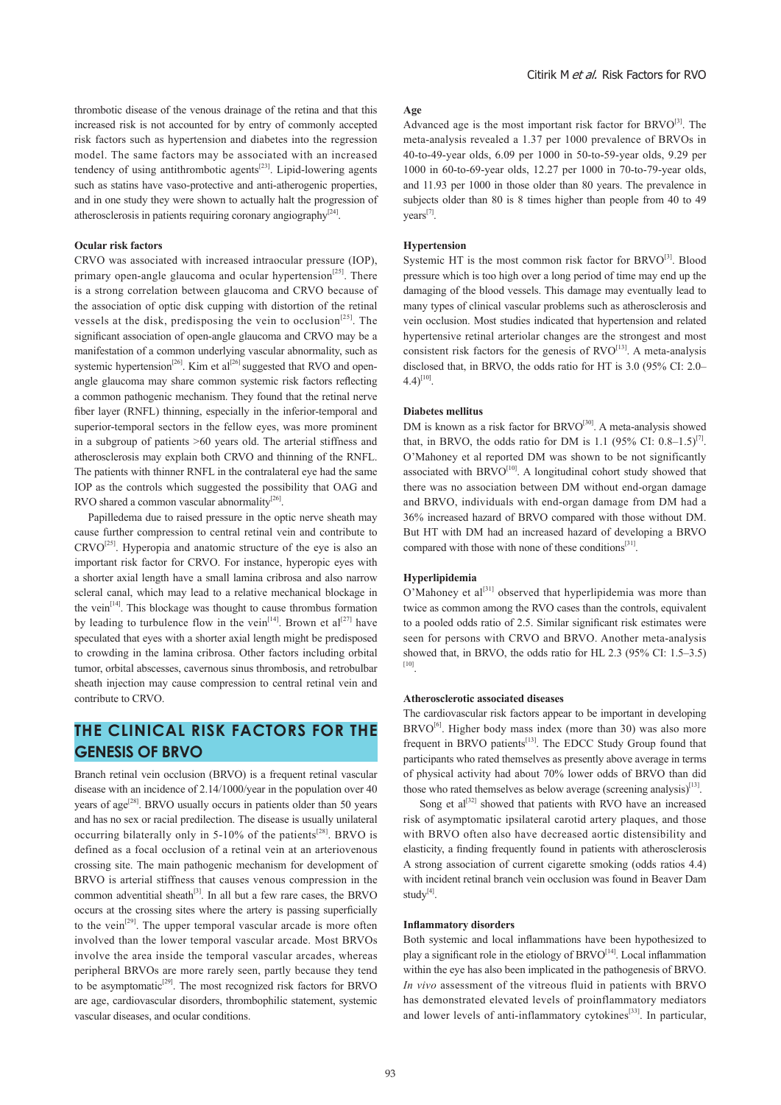thrombotic disease of the venous drainage of the retina and that this increased risk is not accounted for by entry of commonly accepted risk factors such as hypertension and diabetes into the regression model. The same factors may be associated with an increased tendency of using antithrombotic agents<sup>[23]</sup>. Lipid-lowering agents such as statins have vaso-protective and anti-atherogenic properties, and in one study they were shown to actually halt the progression of atherosclerosis in patients requiring coronary angiography<sup>[24]</sup>.

#### **Ocular risk factors**

CRVO was associated with increased intraocular pressure (IOP), primary open-angle glaucoma and ocular hypertension<sup>[25]</sup>. There is a strong correlation between glaucoma and CRVO because of the association of optic disk cupping with distortion of the retinal vessels at the disk, predisposing the vein to occlusion<sup>[25]</sup>. The significant association of open-angle glaucoma and CRVO may be a manifestation of a common underlying vascular abnormality, such as systemic hypertension<sup>[26]</sup>. Kim et al<sup>[26]</sup> suggested that RVO and openangle glaucoma may share common systemic risk factors reflecting a common pathogenic mechanism. They found that the retinal nerve fiber layer (RNFL) thinning, especially in the inferior-temporal and superior-temporal sectors in the fellow eyes, was more prominent in a subgroup of patients >60 years old. The arterial stiffness and atherosclerosis may explain both CRVO and thinning of the RNFL. The patients with thinner RNFL in the contralateral eye had the same IOP as the controls which suggested the possibility that OAG and RVO shared a common vascular abnormality $^{[26]}$ .

 Papilledema due to raised pressure in the optic nerve sheath may cause further compression to central retinal vein and contribute to  $CRVO^{[25]}$ . Hyperopia and anatomic structure of the eye is also an important risk factor for CRVO. For instance, hyperopic eyes with a shorter axial length have a small lamina cribrosa and also narrow scleral canal, which may lead to a relative mechanical blockage in the vein[14]. This blockage was thought to cause thrombus formation by leading to turbulence flow in the vein<sup>[14]</sup>. Brown et al<sup>[27]</sup> have speculated that eyes with a shorter axial length might be predisposed to crowding in the lamina cribrosa. Other factors including orbital tumor, orbital abscesses, cavernous sinus thrombosis, and retrobulbar sheath injection may cause compression to central retinal vein and contribute to CRVO.

# **THE CLINICAL RISK FACTORS FOR THE GENESIS OF BRVO**

Branch retinal vein occlusion (BRVO) is a frequent retinal vascular disease with an incidence of 2.14/1000/year in the population over 40 years of age<sup>[28]</sup>. BRVO usually occurs in patients older than 50 years and has no sex or racial predilection. The disease is usually unilateral occurring bilaterally only in  $5-10\%$  of the patients<sup>[28]</sup>. BRVO is defined as a focal occlusion of a retinal vein at an arteriovenous crossing site. The main pathogenic mechanism for development of BRVO is arterial stiffness that causes venous compression in the common adventitial sheath $[3]$ . In all but a few rare cases, the BRVO occurs at the crossing sites where the artery is passing superficially to the vein<sup>[29]</sup>. The upper temporal vascular arcade is more often involved than the lower temporal vascular arcade. Most BRVOs involve the area inside the temporal vascular arcades, whereas peripheral BRVOs are more rarely seen, partly because they tend to be asymptomatic<sup>[29]</sup>. The most recognized risk factors for BRVO are age, cardiovascular disorders, thrombophilic statement, systemic vascular diseases, and ocular conditions.

#### **Age**

Advanced age is the most important risk factor for BRVO<sup>[3]</sup>. The meta-analysis revealed a 1.37 per 1000 prevalence of BRVOs in 40-to-49-year olds, 6.09 per 1000 in 50-to-59-year olds, 9.29 per 1000 in 60-to-69-year olds, 12.27 per 1000 in 70-to-79-year olds, and 11.93 per 1000 in those older than 80 years. The prevalence in subjects older than 80 is 8 times higher than people from 40 to 49 years<sup>[7]</sup>.

#### **Hypertension**

Systemic HT is the most common risk factor for BRVO<sup>[3]</sup>. Blood pressure which is too high over a long period of time may end up the damaging of the blood vessels. This damage may eventually lead to many types of clinical vascular problems such as atherosclerosis and vein occlusion. Most studies indicated that hypertension and related hypertensive retinal arteriolar changes are the strongest and most consistent risk factors for the genesis of RVO<sup>[13]</sup>. A meta-analysis disclosed that, in BRVO, the odds ratio for HT is 3.0 (95% CI: 2.0–  $4.4$ <sup>[10]</sup>.

#### **Diabetes mellitus**

DM is known as a risk factor for BRVO<sup>[30]</sup>. A meta-analysis showed that, in BRVO, the odds ratio for DM is 1.1 (95% CI:  $0.8-1.5$ )<sup>[7]</sup>. O'Mahoney et al reported DM was shown to be not significantly associated with  $B RVO<sup>[10]</sup>$ . A longitudinal cohort study showed that there was no association between DM without end-organ damage and BRVO, individuals with end-organ damage from DM had a 36% increased hazard of BRVO compared with those without DM. But HT with DM had an increased hazard of developing a BRVO compared with those with none of these conditions<sup>[31]</sup>.

#### **Hyperlipidemia**

O'Mahoney et al<sup>[31]</sup> observed that hyperlipidemia was more than twice as common among the RVO cases than the controls, equivalent to a pooled odds ratio of 2.5. Similar significant risk estimates were seen for persons with CRVO and BRVO. Another meta-analysis showed that, in BRVO, the odds ratio for HL 2.3 (95% CI: 1.5–3.5) [10].

#### **Atherosclerotic associated diseases**

The cardiovascular risk factors appear to be important in developing BRVO<sup>[6]</sup>. Higher body mass index (more than 30) was also more frequent in BRVO patients<sup>[13]</sup>. The EDCC Study Group found that participants who rated themselves as presently above average in terms of physical activity had about 70% lower odds of BRVO than did those who rated themselves as below average (screening analysis) $^{[13]}$ .

Song et  $al^{[32]}$  showed that patients with RVO have an increased risk of asymptomatic ipsilateral carotid artery plaques, and those with BRVO often also have decreased aortic distensibility and elasticity, a finding frequently found in patients with atherosclerosis A strong association of current cigarette smoking (odds ratios 4.4) with incident retinal branch vein occlusion was found in Beaver Dam stud $v^{[4]}$ .

#### **Inflammatory disorders**

Both systemic and local inflammations have been hypothesized to play a significant role in the etiology of BRVO<sup>[14]</sup>. Local inflammation within the eye has also been implicated in the pathogenesis of BRVO. *In vivo* assessment of the vitreous fluid in patients with BRVO has demonstrated elevated levels of proinflammatory mediators and lower levels of anti-inflammatory cytokines<sup>[33]</sup>. In particular,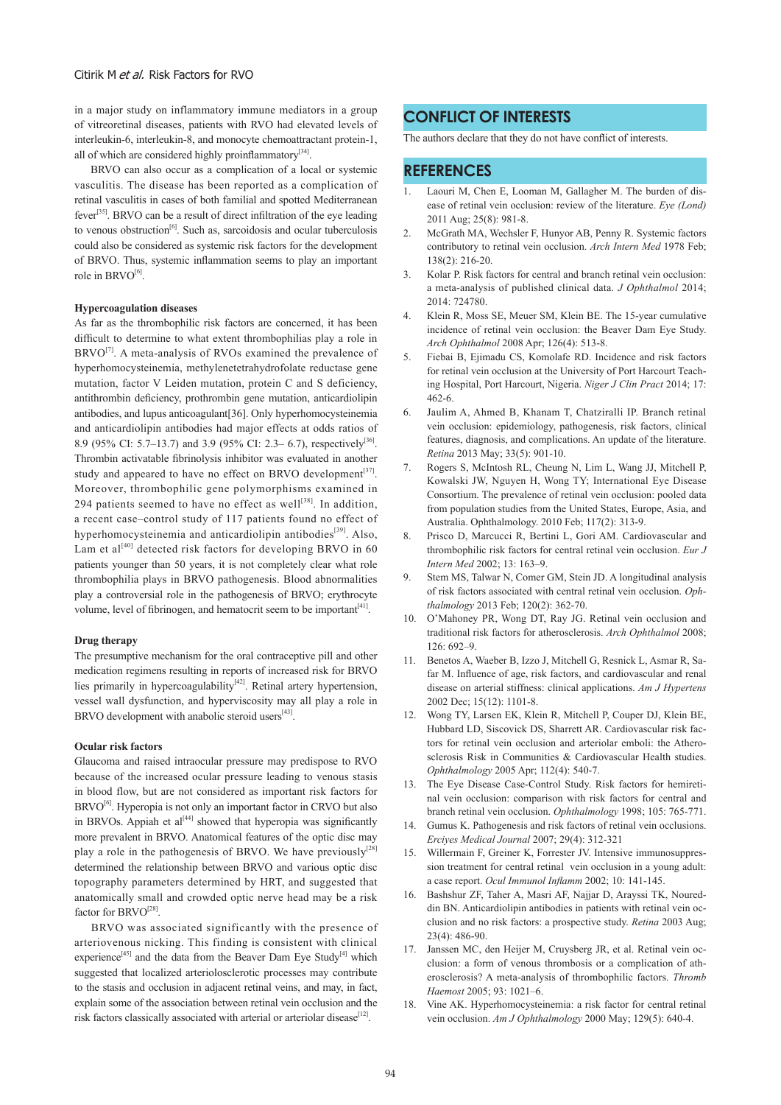in a major study on inflammatory immune mediators in a group of vitreoretinal diseases, patients with RVO had elevated levels of interleukin-6, interleukin-8, and monocyte chemoattractant protein-1, all of which are considered highly proinflammatory<sup>[34]</sup>.

 BRVO can also occur as a complication of a local or systemic vasculitis. The disease has been reported as a complication of retinal vasculitis in cases of both familial and spotted Mediterranean fever[35]. BRVO can be a result of direct infiltration of the eye leading to venous obstruction<sup>[6]</sup>. Such as, sarcoidosis and ocular tuberculosis could also be considered as systemic risk factors for the development of BRVO. Thus, systemic inflammation seems to play an important role in  $B RVO<sup>[6]</sup>$ .

#### **Hypercoagulation diseases**

As far as the thrombophilic risk factors are concerned, it has been difficult to determine to what extent thrombophilias play a role in  $BRVO<sup>[7]</sup>$ . A meta-analysis of RVOs examined the prevalence of hyperhomocysteinemia, methylenetetrahydrofolate reductase gene mutation, factor V Leiden mutation, protein C and S deficiency, antithrombin deficiency, prothrombin gene mutation, anticardiolipin antibodies, and lupus anticoagulant[36]. Only hyperhomocysteinemia and anticardiolipin antibodies had major effects at odds ratios of 8.9 (95% CI: 5.7–13.7) and 3.9 (95% CI: 2.3– 6.7), respectively<sup>[36]</sup>. Thrombin activatable fibrinolysis inhibitor was evaluated in another study and appeared to have no effect on BRVO development $[37]$ . Moreover, thrombophilic gene polymorphisms examined in 294 patients seemed to have no effect as well $[38]$ . In addition, a recent case–control study of 117 patients found no effect of hyperhomocysteinemia and anticardiolipin antibodies $[39]$ . Also, Lam et al<sup>[40]</sup> detected risk factors for developing BRVO in 60 patients younger than 50 years, it is not completely clear what role thrombophilia plays in BRVO pathogenesis. Blood abnormalities play a controversial role in the pathogenesis of BRVO; erythrocyte volume, level of fibrinogen, and hematocrit seem to be important<sup>[41]</sup>.

#### **Drug therapy**

The presumptive mechanism for the oral contraceptive pill and other medication regimens resulting in reports of increased risk for BRVO lies primarily in hypercoagulability<sup>[42]</sup>. Retinal artery hypertension, vessel wall dysfunction, and hyperviscosity may all play a role in BRVO development with anabolic steroid users<sup>[43]</sup>

#### **Ocular risk factors**

Glaucoma and raised intraocular pressure may predispose to RVO because of the increased ocular pressure leading to venous stasis in blood flow, but are not considered as important risk factors for  $B\text{RVO}^{[6]}$ . Hyperopia is not only an important factor in CRVO but also in BRVOs. Appiah et  $al^{[44]}$  showed that hyperopia was significantly more prevalent in BRVO. Anatomical features of the optic disc may play a role in the pathogenesis of BRVO. We have previously<sup>[28]</sup> determined the relationship between BRVO and various optic disc topography parameters determined by HRT, and suggested that anatomically small and crowded optic nerve head may be a risk factor for BRVO<sup>[28]</sup>.

 BRVO was associated significantly with the presence of arteriovenous nicking. This finding is consistent with clinical experience<sup>[45]</sup> and the data from the Beaver Dam Eye Study<sup>[4]</sup> which suggested that localized arteriolosclerotic processes may contribute to the stasis and occlusion in adjacent retinal veins, and may, in fact, explain some of the association between retinal vein occlusion and the risk factors classically associated with arterial or arteriolar disease<sup>[12]</sup>.

### **CONFLICT OF INTERESTS**

The authors declare that they do not have conflict of interests.

## **REFERENCES**

- Laouri M, Chen E, Looman M, Gallagher M. The burden of disease of retinal vein occlusion: review of the literature. *Eye (Lond)* 2011 Aug; 25(8): 981-8.
- 2. McGrath MA, Wechsler F, Hunyor AB, Penny R. Systemic factors contributory to retinal vein occlusion. *Arch Intern Med* 1978 Feb; 138(2): 216-20.
- 3. Kolar P. Risk factors for central and branch retinal vein occlusion: a meta-analysis of published clinical data. *J Ophthalmol* 2014; 2014: 724780.
- 4. Klein R, Moss SE, Meuer SM, Klein BE. The 15-year cumulative incidence of retinal vein occlusion: the Beaver Dam Eye Study. *Arch Ophthalmol* 2008 Apr; 126(4): 513-8.
- 5. Fiebai B, Ejimadu CS, Komolafe RD. Incidence and risk factors for retinal vein occlusion at the University of Port Harcourt Teaching Hospital, Port Harcourt, Nigeria. *Niger J Clin Pract* 2014; 17: 462-6.
- 6. Jaulim A, Ahmed B, Khanam T, Chatziralli IP. Branch retinal vein occlusion: epidemiology, pathogenesis, risk factors, clinical features, diagnosis, and complications. An update of the literature. *Retina* 2013 May; 33(5): 901-10.
- 7. Rogers S, McIntosh RL, Cheung N, Lim L, Wang JJ, Mitchell P, Kowalski JW, Nguyen H, Wong TY; International Eye Disease Consortium. The prevalence of retinal vein occlusion: pooled data from population studies from the United States, Europe, Asia, and Australia. Ophthalmology. 2010 Feb; 117(2): 313-9.
- 8. Prisco D, Marcucci R, Bertini L, Gori AM. Cardiovascular and thrombophilic risk factors for central retinal vein occlusion. *Eur J Intern Med* 2002; 13: 163–9.
- Stem MS, Talwar N, Comer GM, Stein JD. A longitudinal analysis of risk factors associated with central retinal vein occlusion. *Ophthalmology* 2013 Feb; 120(2): 362-70.
- 10. O'Mahoney PR, Wong DT, Ray JG. Retinal vein occlusion and traditional risk factors for atherosclerosis. *Arch Ophthalmol* 2008; 126: 692–9.
- 11. Benetos A, Waeber B, Izzo J, Mitchell G, Resnick L, Asmar R, Safar M. Influence of age, risk factors, and cardiovascular and renal disease on arterial stiffness: clinical applications. *Am J Hypertens* 2002 Dec; 15(12): 1101-8.
- 12. Wong TY, Larsen EK, Klein R, Mitchell P, Couper DJ, Klein BE, Hubbard LD, Siscovick DS, Sharrett AR. Cardiovascular risk factors for retinal vein occlusion and arteriolar emboli: the Atherosclerosis Risk in Communities & Cardiovascular Health studies. *Ophthalmology* 2005 Apr; 112(4): 540-7.
- 13. The Eye Disease Case-Control Study. Risk factors for hemiretinal vein occlusion: comparison with risk factors for central and branch retinal vein occlusion. *Ophthalmology* 1998; 105: 765-771.
- 14. Gumus K. Pathogenesis and risk factors of retinal vein occlusions. *Erciyes Medical Journal* 2007; 29(4): 312-321
- 15. Willermain F, Greiner K, Forrester JV. Intensive immunosuppression treatment for central retinal vein occlusion in a young adult: a case report. *Ocul Immunol Inflamm* 2002; 10: 141-145.
- 16. Bashshur ZF, Taher A, Masri AF, Najjar D, Arayssi TK, Noureddin BN. Anticardiolipin antibodies in patients with retinal vein occlusion and no risk factors: a prospective study. *Retina* 2003 Aug; 23(4): 486-90.
- 17. Janssen MC, den Heijer M, Cruysberg JR, et al. Retinal vein occlusion: a form of venous thrombosis or a complication of atherosclerosis? A meta-analysis of thrombophilic factors. *Thromb Haemost* 2005; 93: 1021–6.
- Vine AK. Hyperhomocysteinemia: a risk factor for central retinal vein occlusion. *Am J Ophthalmology* 2000 May; 129(5): 640-4.